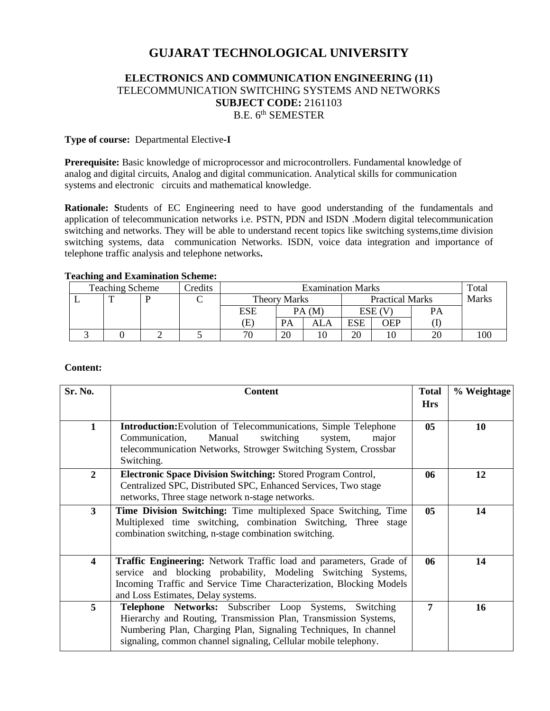# **GUJARAT TECHNOLOGICAL UNIVERSITY**

## **ELECTRONICS AND COMMUNICATION ENGINEERING (11)** TELECOMMUNICATION SWITCHING SYSTEMS AND NETWORKS **SUBJECT CODE:** 2161103 B.E. 6<sup>th</sup> SEMESTER

#### **Type of course:** Departmental Elective**-I**

**Prerequisite:** Basic knowledge of microprocessor and microcontrollers. Fundamental knowledge of analog and digital circuits, Analog and digital communication. Analytical skills for communication systems and electronic circuits and mathematical knowledge.

**Rationale: S**tudents of EC Engineering need to have good understanding of the fundamentals and application of telecommunication networks i.e. PSTN, PDN and ISDN .Modern digital telecommunication switching and networks. They will be able to understand recent topics like switching systems,time division switching systems, data communication Networks. ISDN, voice data integration and importance of telephone traffic analysis and telephone networks**.**

#### **Teaching and Examination Scheme:**

| <b>Teaching Scheme</b> |                                     |  | Credits | <b>Examination Marks</b> |    |                        |     |        | Total |     |
|------------------------|-------------------------------------|--|---------|--------------------------|----|------------------------|-----|--------|-------|-----|
|                        | $\mathbf{\mathbf{\mathsf{\Gamma}}}$ |  |         | <b>Theory Marks</b>      |    | <b>Practical Marks</b> |     |        | Marks |     |
|                        |                                     |  |         | ESE                      |    | PA(M)                  |     | ESE (V |       |     |
|                        |                                     |  |         | (E)                      | PA |                        | ESE | OEP    |       |     |
|                        |                                     |  |         | 70                       | 20 |                        | 20  |        | 20    | 100 |

#### **Content:**

| Sr. No.                 | <b>Content</b>                                                                                                                                                                                                                                                            | <b>Total</b>   | % Weightage |
|-------------------------|---------------------------------------------------------------------------------------------------------------------------------------------------------------------------------------------------------------------------------------------------------------------------|----------------|-------------|
|                         |                                                                                                                                                                                                                                                                           | <b>Hrs</b>     |             |
| 1                       | <b>Introduction:</b> Evolution of Telecommunications, Simple Telephone<br>Manual<br>switching<br>Communication,<br>major<br>system,<br>telecommunication Networks, Strowger Switching System, Crossbar<br>Switching.                                                      | 05             | 10          |
| $\overline{2}$          | <b>Electronic Space Division Switching: Stored Program Control,</b><br>Centralized SPC, Distributed SPC, Enhanced Services, Two stage<br>networks, Three stage network n-stage networks.                                                                                  | 06             | 12          |
| $\mathbf{3}$            | Time Division Switching: Time multiplexed Space Switching, Time<br>Multiplexed time switching, combination Switching, Three stage<br>combination switching, n-stage combination switching.                                                                                | 0 <sub>5</sub> | 14          |
| $\overline{\mathbf{4}}$ | <b>Traffic Engineering:</b> Network Traffic load and parameters, Grade of<br>service and blocking probability, Modeling Switching Systems,<br>Incoming Traffic and Service Time Characterization, Blocking Models<br>and Loss Estimates, Delay systems.                   | 06             | 14          |
| 5                       | <b>Telephone Networks:</b> Subscriber Loop Systems,<br>Switching<br>Hierarchy and Routing, Transmission Plan, Transmission Systems,<br>Numbering Plan, Charging Plan, Signaling Techniques, In channel<br>signaling, common channel signaling, Cellular mobile telephony. |                | 16          |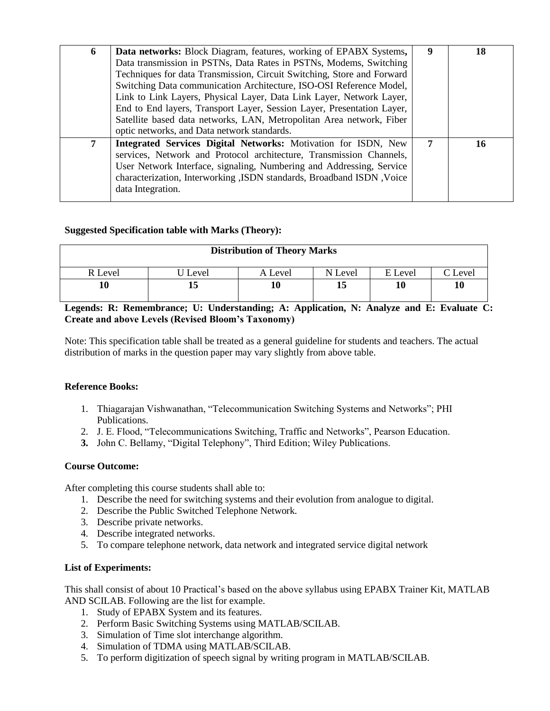| 6 | Data networks: Block Diagram, features, working of EPABX Systems,<br>Data transmission in PSTNs, Data Rates in PSTNs, Modems, Switching<br>Techniques for data Transmission, Circuit Switching, Store and Forward<br>Switching Data communication Architecture, ISO-OSI Reference Model,<br>Link to Link Layers, Physical Layer, Data Link Layer, Network Layer,<br>End to End layers, Transport Layer, Session Layer, Presentation Layer,<br>Satellite based data networks, LAN, Metropolitan Area network, Fiber<br>optic networks, and Data network standards. | 18 |
|---|-------------------------------------------------------------------------------------------------------------------------------------------------------------------------------------------------------------------------------------------------------------------------------------------------------------------------------------------------------------------------------------------------------------------------------------------------------------------------------------------------------------------------------------------------------------------|----|
| 7 | <b>Integrated Services Digital Networks:</b> Motivation for ISDN, New<br>services, Network and Protocol architecture, Transmission Channels,<br>User Network Interface, signaling, Numbering and Addressing, Service<br>characterization, Interworking , ISDN standards, Broadband ISDN, Voice<br>data Integration.                                                                                                                                                                                                                                               | 16 |

## **Suggested Specification table with Marks (Theory):**

| <b>Distribution of Theory Marks</b> |         |         |         |         |         |  |  |
|-------------------------------------|---------|---------|---------|---------|---------|--|--|
| R Level                             | U Level | A Level | N Level | E Level | C Level |  |  |
| 10                                  | 15      | 10      | 15      | 10      | 10      |  |  |

**Legends: R: Remembrance; U: Understanding; A: Application, N: Analyze and E: Evaluate C: Create and above Levels (Revised Bloom's Taxonomy)**

Note: This specification table shall be treated as a general guideline for students and teachers. The actual distribution of marks in the question paper may vary slightly from above table.

#### **Reference Books:**

- 1. Thiagarajan Vishwanathan, "Telecommunication Switching Systems and Networks"; PHI Publications.
- 2. J. E. Flood, "Telecommunications Switching, Traffic and Networks", Pearson Education.
- **3.** John C. Bellamy, "Digital Telephony", Third Edition; Wiley Publications.

## **Course Outcome:**

After completing this course students shall able to:

- 1. Describe the need for switching systems and their evolution from analogue to digital.
- 2. Describe the Public Switched Telephone Network.
- 3. Describe private networks.
- 4. Describe integrated networks.
- 5. To compare telephone network, data network and integrated service digital network

## **List of Experiments:**

This shall consist of about 10 Practical's based on the above syllabus using EPABX Trainer Kit, MATLAB AND SCILAB. Following are the list for example.

- 1. Study of EPABX System and its features.
- 2. Perform Basic Switching Systems using MATLAB/SCILAB.
- 3. Simulation of Time slot interchange algorithm.
- 4. Simulation of TDMA using MATLAB/SCILAB.
- 5. To perform digitization of speech signal by writing program in MATLAB/SCILAB.